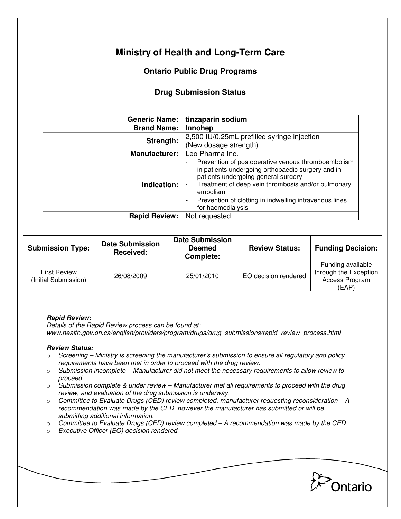# **Ministry of Health and Long-Term Care**

## **Ontario Public Drug Programs**

### **Drug Submission Status**

| Generic Name:        | tinzaparin sodium                                                                                                                                                                                                                                                                                                 |  |  |
|----------------------|-------------------------------------------------------------------------------------------------------------------------------------------------------------------------------------------------------------------------------------------------------------------------------------------------------------------|--|--|
| <b>Brand Name:</b>   | Innohep                                                                                                                                                                                                                                                                                                           |  |  |
| Strength:            | 2,500 IU/0.25mL prefilled syringe injection<br>(New dosage strength)                                                                                                                                                                                                                                              |  |  |
| <b>Manufacturer:</b> | Leo Pharma Inc.                                                                                                                                                                                                                                                                                                   |  |  |
| Indication:          | Prevention of postoperative venous thromboembolism<br>in patients undergoing orthopaedic surgery and in<br>patients undergoing general surgery<br>Treatment of deep vein thrombosis and/or pulmonary<br>embolism<br>Prevention of clotting in indwelling intravenous lines<br>$\blacksquare$<br>for haemodialysis |  |  |
| <b>Rapid Review:</b> | Not requested                                                                                                                                                                                                                                                                                                     |  |  |

| <b>Submission Type:</b>                     | <b>Date Submission</b><br>Received: | <b>Date Submission</b><br><b>Deemed</b><br>Complete: | <b>Review Status:</b> | <b>Funding Decision:</b>                                              |
|---------------------------------------------|-------------------------------------|------------------------------------------------------|-----------------------|-----------------------------------------------------------------------|
| <b>First Review</b><br>(Initial Submission) | 26/08/2009                          | 25/01/2010                                           | EO decision rendered  | Funding available<br>through the Exception<br>Access Program<br>(EAP) |

#### **Rapid Review:**

Details of the Rapid Review process can be found at: www.health.gov.on.ca/english/providers/program/drugs/drug\_submissions/rapid\_review\_process.html

#### **Review Status:**

- $\circ$  Screening Ministry is screening the manufacturer's submission to ensure all regulatory and policy requirements have been met in order to proceed with the drug review.
- $\circ$  Submission incomplete Manufacturer did not meet the necessary requirements to allow review to proceed.
- $\circ$  Submission complete & under review Manufacturer met all requirements to proceed with the drug review, and evaluation of the drug submission is underway.
- $\circ$  Committee to Evaluate Drugs (CED) review completed, manufacturer requesting reconsideration A recommendation was made by the CED, however the manufacturer has submitted or will be submitting additional information.
- $\circ$  Committee to Evaluate Drugs (CED) review completed  $-A$  recommendation was made by the CED.
- o Executive Officer (EO) decision rendered.